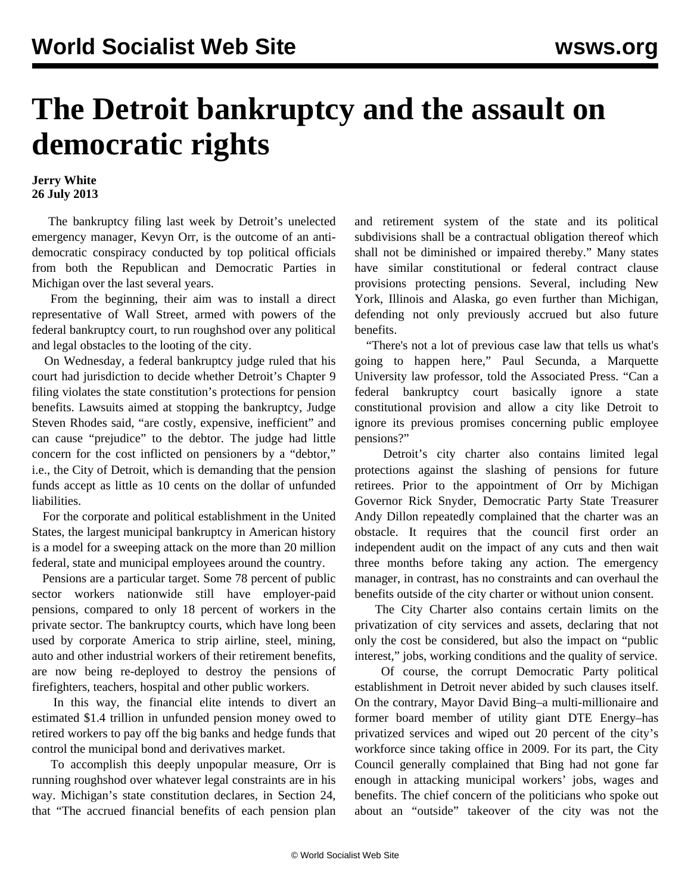## **The Detroit bankruptcy and the assault on democratic rights**

## **Jerry White 26 July 2013**

 The bankruptcy filing last week by Detroit's unelected emergency manager, Kevyn Orr, is the outcome of an antidemocratic conspiracy conducted by top political officials from both the Republican and Democratic Parties in Michigan over the last several years.

 From the beginning, their aim was to install a direct representative of Wall Street, armed with powers of the federal bankruptcy court, to run roughshod over any political and legal obstacles to the looting of the city.

 On Wednesday, a federal bankruptcy judge ruled that his court had jurisdiction to decide whether Detroit's Chapter 9 filing violates the state constitution's protections for pension benefits. Lawsuits aimed at stopping the bankruptcy, Judge Steven Rhodes said, "are costly, expensive, inefficient" and can cause "prejudice" to the debtor. The judge had little concern for the cost inflicted on pensioners by a "debtor," i.e., the City of Detroit, which is demanding that the pension funds accept as little as 10 cents on the dollar of unfunded liabilities.

 For the corporate and political establishment in the United States, the largest municipal bankruptcy in American history is a model for a sweeping attack on the more than 20 million federal, state and municipal employees around the country.

 Pensions are a particular target. Some 78 percent of public sector workers nationwide still have employer-paid pensions, compared to only 18 percent of workers in the private sector. The bankruptcy courts, which have long been used by corporate America to strip airline, steel, mining, auto and other industrial workers of their retirement benefits, are now being re-deployed to destroy the pensions of firefighters, teachers, hospital and other public workers.

 In this way, the financial elite intends to divert an estimated \$1.4 trillion in unfunded pension money owed to retired workers to pay off the big banks and hedge funds that control the municipal bond and derivatives market.

 To accomplish this deeply unpopular measure, Orr is running roughshod over whatever legal constraints are in his way. Michigan's state constitution declares, in Section 24, that "The accrued financial benefits of each pension plan and retirement system of the state and its political subdivisions shall be a contractual obligation thereof which shall not be diminished or impaired thereby." Many states have similar constitutional or federal contract clause provisions protecting pensions. Several, including New York, Illinois and Alaska, go even further than Michigan, defending not only previously accrued but also future benefits.

 "There's not a lot of previous case law that tells us what's going to happen here," Paul Secunda, a Marquette University law professor, told the Associated Press. "Can a federal bankruptcy court basically ignore a state constitutional provision and allow a city like Detroit to ignore its previous promises concerning public employee pensions?"

 Detroit's city charter also contains limited legal protections against the slashing of pensions for future retirees. Prior to the appointment of Orr by Michigan Governor Rick Snyder, Democratic Party State Treasurer Andy Dillon repeatedly complained that the charter was an obstacle. It requires that the council first order an independent audit on the impact of any cuts and then wait three months before taking any action. The emergency manager, in contrast, has no constraints and can overhaul the benefits outside of the city charter or without union consent.

 The City Charter also contains certain limits on the privatization of city services and assets, declaring that not only the cost be considered, but also the impact on "public interest," jobs, working conditions and the quality of service.

 Of course, the corrupt Democratic Party political establishment in Detroit never abided by such clauses itself. On the contrary, Mayor David Bing–a multi-millionaire and former board member of utility giant DTE Energy–has privatized services and wiped out 20 percent of the city's workforce since taking office in 2009. For its part, the City Council generally complained that Bing had not gone far enough in attacking municipal workers' jobs, wages and benefits. The chief concern of the politicians who spoke out about an "outside" takeover of the city was not the